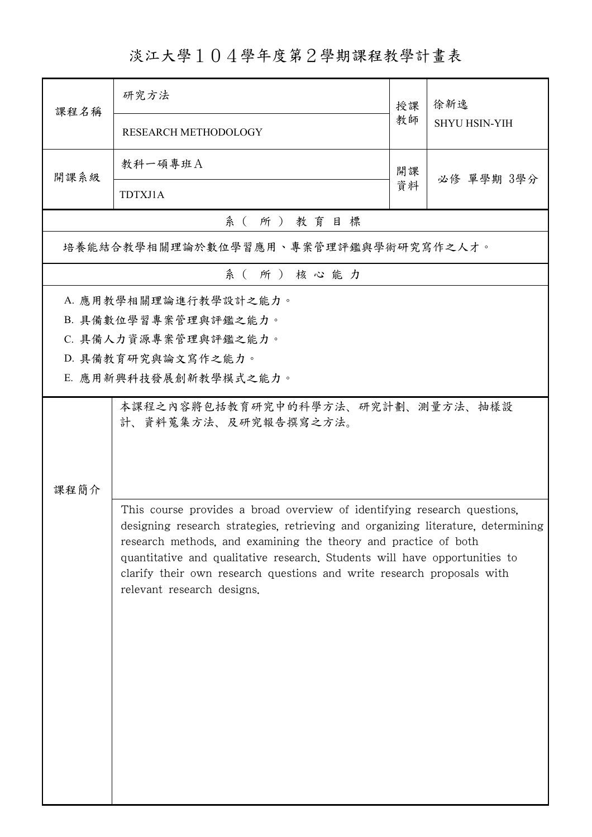## 淡江大學104學年度第2學期課程教學計畫表

| 課程名稱                                                                                                                                                                                                                                                                                                                                                                                                                  | 研究方法                                 | 授課 | 徐新逸<br><b>SHYU HSIN-YIH</b> |  |  |  |
|-----------------------------------------------------------------------------------------------------------------------------------------------------------------------------------------------------------------------------------------------------------------------------------------------------------------------------------------------------------------------------------------------------------------------|--------------------------------------|----|-----------------------------|--|--|--|
|                                                                                                                                                                                                                                                                                                                                                                                                                       | RESEARCH METHODOLOGY                 | 教師 |                             |  |  |  |
| 開課系級                                                                                                                                                                                                                                                                                                                                                                                                                  | 教科一碩專班A                              | 開課 | 必修 單學期 3學分                  |  |  |  |
|                                                                                                                                                                                                                                                                                                                                                                                                                       | TDTXJ1A                              | 資料 |                             |  |  |  |
|                                                                                                                                                                                                                                                                                                                                                                                                                       | 系(所)教育目標                             |    |                             |  |  |  |
|                                                                                                                                                                                                                                                                                                                                                                                                                       | 培養能結合教學相關理論於數位學習應用、專案管理評鑑與學術研究寫作之人才。 |    |                             |  |  |  |
|                                                                                                                                                                                                                                                                                                                                                                                                                       | 系(所)核心能力                             |    |                             |  |  |  |
|                                                                                                                                                                                                                                                                                                                                                                                                                       | A. 應用教學相關理論進行教學設計之能力。                |    |                             |  |  |  |
|                                                                                                                                                                                                                                                                                                                                                                                                                       | B. 具備數位學習專案管理與評鑑之能力。                 |    |                             |  |  |  |
|                                                                                                                                                                                                                                                                                                                                                                                                                       | C. 具備人力資源專案管理與評鑑之能力。                 |    |                             |  |  |  |
|                                                                                                                                                                                                                                                                                                                                                                                                                       | D. 具備教育研究與論文寫作之能力。                   |    |                             |  |  |  |
|                                                                                                                                                                                                                                                                                                                                                                                                                       | E. 應用新興科技發展創新教學模式之能力。                |    |                             |  |  |  |
| 本課程之內容將包括教育研究中的科學方法、研究計劃、測量方法、抽樣設<br>計、資料蒐集方法、及研究報告撰寫之方法。<br>課程簡介                                                                                                                                                                                                                                                                                                                                                     |                                      |    |                             |  |  |  |
| This course provides a broad overview of identifying research questions,<br>designing research strategies, retrieving and organizing literature, determining<br>research methods, and examining the theory and practice of both<br>quantitative and qualitative research. Students will have opportunities to<br>clarify their own research questions and write research proposals with<br>relevant research designs. |                                      |    |                             |  |  |  |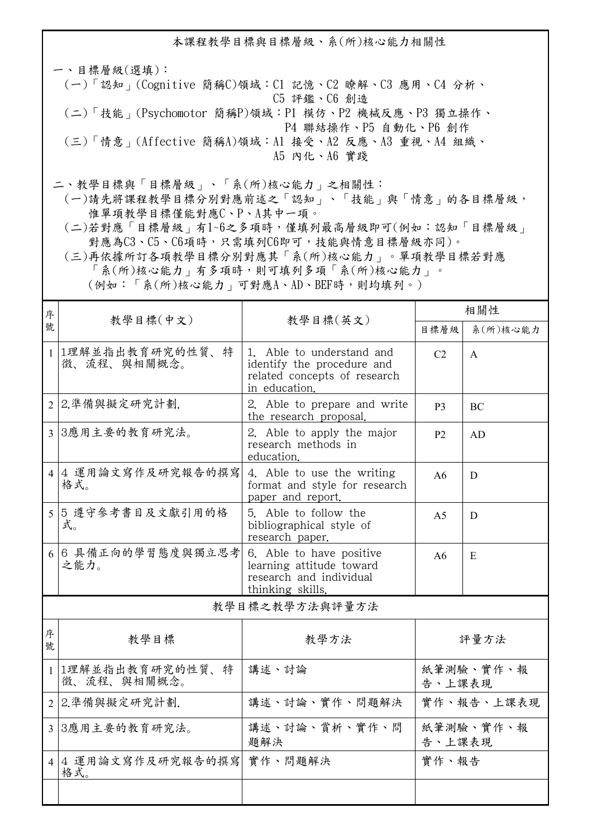本課程教學目標與目標層級、系(所)核心能力相關性

一、目標層級(選填): (一)「認知」(Cognitive 簡稱C)領域:C1 記憶、C2 瞭解、C3 應用、C4 分析、 C5 評鑑、C6 創造 (二)「技能」(Psychomotor 簡稱P)領域:P1 模仿、P2 機械反應、P3 獨立操作、 P4 聯結操作、P5 自動化、P6 創作 (三)「情意」(Affective 簡稱A)領域:A1 接受、A2 反應、A3 重視、A4 組織、 A5 內化、A6 實踐

二、教學目標與「目標層級」、「系(所)核心能力」之相關性:

 (一)請先將課程教學目標分別對應前述之「認知」、「技能」與「情意」的各目標層級, 惟單項教學目標僅能對應C、P、A其中一項。

 (二)若對應「目標層級」有1~6之多項時,僅填列最高層級即可(例如:認知「目標層級」 對應為C3、C5、C6項時,只需填列C6即可,技能與情意目標層級亦同)。

 (三)再依據所訂各項教學目標分別對應其「系(所)核心能力」。單項教學目標若對應 「系(所)核心能力」有多項時,則可填列多項「系(所)核心能力」。 (例如:「系(所)核心能力」可對應A、AD、BEF時,則均填列。)

| 序      |                                  |                                                                                                          | 相關性                 |              |  |  |
|--------|----------------------------------|----------------------------------------------------------------------------------------------------------|---------------------|--------------|--|--|
| 號      | 教學目標(中文)                         | 教學目標(英文)                                                                                                 | 目標層級                | 系(所)核心能力     |  |  |
|        | 1 1理解並指出教育研究的性質、特<br>徵、流程、與相關概念。 | 1. Able to understand and<br>identify the procedure and<br>related concepts of research<br>in education. | C <sub>2</sub>      | $\mathsf{A}$ |  |  |
|        | 2 2.準備與擬定研究計劃.                   | 2. Able to prepare and write<br>the research proposal.                                                   | P3                  | <b>BC</b>    |  |  |
|        | 3 3應用主要的教育研究法。                   | 2. Able to apply the major<br>research methods in<br>education.                                          | <b>P2</b>           | AD           |  |  |
|        | 4 4 運用論文寫作及研究報告的撰寫<br>格式。        | 4. Able to use the writing<br>format and style for research<br>paper and report.                         | A6                  | D            |  |  |
| 5      | 5 遵守參考書目及文獻引用的格<br>式。            | 5. Able to follow the<br>bibliographical style of<br>research paper.                                     | A <sub>5</sub>      | D            |  |  |
|        | 6 6 具備正向的學習態度與獨立思考<br>之能力。       | 6. Able to have positive<br>learning attitude toward<br>research and individual<br>thinking skills.      | A6                  | E            |  |  |
|        | 教學目標之教學方法與評量方法                   |                                                                                                          |                     |              |  |  |
| 序<br>號 | 教學目標                             | 教學方法                                                                                                     |                     | 評量方法         |  |  |
|        | 1 1理解並指出教育研究的性質、特<br>徵、流程、與相關概念。 | 講述、討論                                                                                                    | 紙筆測驗、實作、報<br>告、上課表現 |              |  |  |
|        | 2 2.準備與擬定研究計劃.                   | 講述、討論、實作、問題解決                                                                                            | 實作、報告、上課表現          |              |  |  |
|        | 3 3應用主要的教育研究法。                   | 講述、討論、賞析、實作、問<br>題解決                                                                                     | 紙筆測驗、實作、報<br>告、上課表現 |              |  |  |
|        | 4 4 運用論文寫作及研究報告的撰寫<br>格式。        | 實作、問題解決                                                                                                  | 實作、報告               |              |  |  |
|        |                                  |                                                                                                          |                     |              |  |  |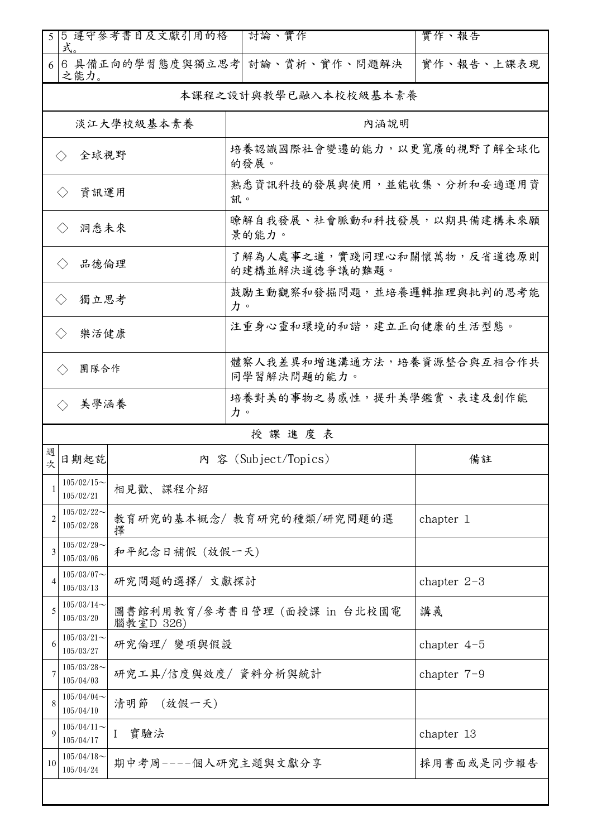| 5                                                 | 式。                         | 5 遵守參考書目及文獻引用的格                           | 討論、實作                                        | 實作、報告         |  |  |
|---------------------------------------------------|----------------------------|-------------------------------------------|----------------------------------------------|---------------|--|--|
| 6                                                 | 之能力。                       |                                           | 6 具備正向的學習態度與獨立思考 討論、賞析、實作、問題解決               | 實作、報告、上課表現    |  |  |
|                                                   | 本課程之設計與教學已融入本校校級基本素養       |                                           |                                              |               |  |  |
|                                                   |                            | 淡江大學校級基本素養                                | 內涵說明                                         |               |  |  |
| 全球視野<br>$\langle \ \rangle$                       |                            |                                           | 培養認識國際社會變遷的能力,以更寬廣的視野了解全球化<br>的發展。           |               |  |  |
| 資訊運用<br>$\langle$ $\rangle$                       |                            |                                           | 熟悉資訊科技的發展與使用,並能收集、分析和妥適運用資<br>訊。             |               |  |  |
| 洞悉未來<br>$\langle \ \rangle$                       |                            |                                           | 瞭解自我發展、社會脈動和科技發展,以期具備建構未來願<br>景的能力。          |               |  |  |
| 品德倫理<br>$\langle \ \rangle$                       |                            |                                           | 了解為人處事之道,實踐同理心和關懷萬物,反省道德原則<br>的建構並解決道德爭議的難題。 |               |  |  |
| 獨立思考<br>$\langle \rangle$                         |                            |                                           | 鼓勵主動觀察和發掘問題,並培養邏輯推理與批判的思考能<br>力。             |               |  |  |
| 樂活健康<br>$\langle \ \rangle$                       |                            |                                           | 注重身心靈和環境的和諧,建立正向健康的生活型態。                     |               |  |  |
| 體察人我差異和增進溝通方法,培養資源整合與互相合作共<br>團隊合作<br>同學習解決問題的能力。 |                            |                                           |                                              |               |  |  |
| 培養對美的事物之易感性,提升美學鑑賞、表達及創作能<br>美學涵養<br>力。           |                            |                                           |                                              |               |  |  |
|                                                   |                            |                                           | 授課進度表                                        |               |  |  |
| 週<br>次                                            | 日期起訖                       |                                           | 內 容 (Subject/Topics)                         | 備註            |  |  |
|                                                   | $105/02/15$ ~<br>105/02/21 | 相見歡、課程介紹                                  |                                              |               |  |  |
| 2                                                 | $105/02/22$ ~<br>105/02/28 | 擇                                         | 教育研究的基本概念/教育研究的種類/研究問題的選                     | chapter 1     |  |  |
| 3                                                 | $105/02/29$ ~<br>105/03/06 | 和平紀念日補假 (放假一天)                            |                                              |               |  |  |
| 4                                                 | $105/03/07$ ~<br>105/03/13 | 研究問題的選擇/文獻探討                              |                                              | chapter $2-3$ |  |  |
| 5                                                 | $105/03/14$ ~<br>105/03/20 | 圖書館利用教育/參考書目管理 (面授課 in 台北校園電<br>腦教室D 326) |                                              | 講義            |  |  |
| 6                                                 | $105/03/21$ ~<br>105/03/27 | 研究倫理/ 變項與假設                               |                                              | chapter $4-5$ |  |  |
| 7                                                 | $105/03/28$ ~<br>105/04/03 | 研究工具/信度與效度/ 資料分析與統計                       |                                              | chapter $7-9$ |  |  |
| 8                                                 | 105/04/04<br>105/04/10     | 清明節<br>(放假一天)                             |                                              |               |  |  |
| 9                                                 | $105/04/11$ ~<br>105/04/17 | 實驗法<br>$\mathbf{I}$                       |                                              | chapter 13    |  |  |
| 10                                                | $105/04/18$ ~<br>105/04/24 | 期中考周----個人研究主題與文獻分享                       |                                              | 採用書面或是同步報告    |  |  |
|                                                   |                            |                                           |                                              |               |  |  |